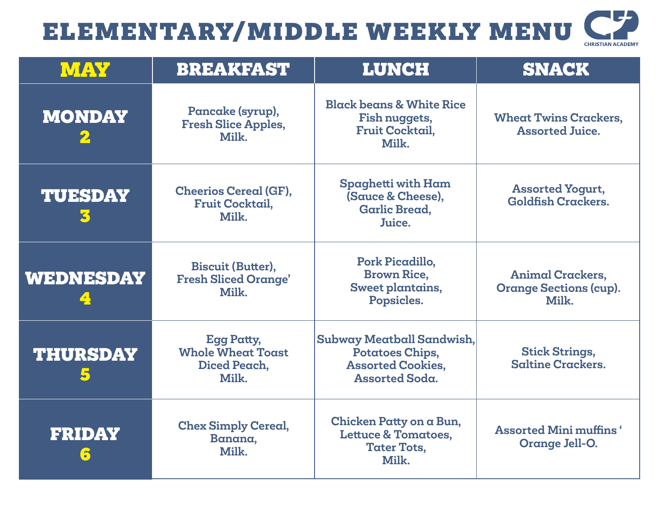| <b>CHRISTIAN ACADEMY</b> |
|--------------------------|

| MAY                           | <b>BREAKFAST</b>                                                       | <b>LUNCH</b>                                                                                      | <b>SNACK</b>                                                      |
|-------------------------------|------------------------------------------------------------------------|---------------------------------------------------------------------------------------------------|-------------------------------------------------------------------|
| <b>MONDAY</b>                 | Pancake (syrup),<br><b>Fresh Slice Apples,</b><br>Milk.                | <b>Black beans &amp; White Rice</b><br>Fish nuggets,<br><b>Fruit Cocktail,</b><br>Milk.           | <b>Wheat Twins Crackers,</b><br><b>Assorted Juice.</b>            |
| <b>TUESDAY</b>                | <b>Cheerios Cereal (GF),</b><br><b>Fruit Cocktail,</b><br>Milk.        | Spaghetti with Ham<br>(Sauce & Cheese),<br><b>Garlic Bread,</b><br>Juice.                         | <b>Assorted Yogurt,</b><br><b>Goldfish Crackers.</b>              |
| <b>WEDNESDAY</b>              | <b>Biscuit (Butter),</b><br><b>Fresh Sliced Orange'</b><br>Milk.       | Pork Picadillo,<br><b>Brown Rice,</b><br>Sweet plantains,<br>Popsicles.                           | <b>Animal Crackers,</b><br><b>Orange Sections (cup).</b><br>Milk. |
| <b>THURSDAY</b>               | <b>Egg Patty,</b><br><b>Whole Wheat Toast</b><br>Diced Peach,<br>Milk. | Subway Meatball Sandwish,<br>Potatoes Chips,<br><b>Assorted Cookies,</b><br><b>Assorted Soda.</b> | <b>Stick Strings,</b><br><b>Saltine Crackers.</b>                 |
| <b>FRIDAY</b><br>$\mathbf{C}$ | <b>Chex Simply Cereal,</b><br>Banana,<br>Milk.                         | Chicken Patty on a Bun,<br><b>Lettuce &amp; Tomatoes,</b><br><b>Tater Tots,</b><br>Milk.          | <b>Assorted Mini muffins</b> '<br>Orange Jell-O.                  |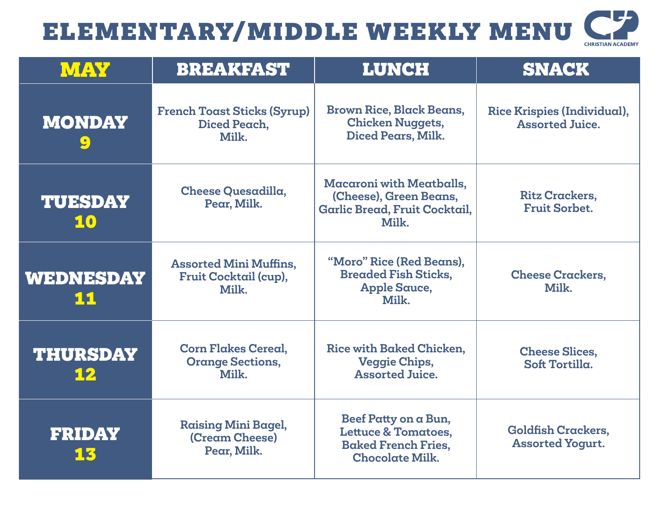| <b>CHRISTIAN ACADEMY</b> |
|--------------------------|

| <b>MAY</b>                                   | <b>BREAKFAST</b>                                                | <b>LUNCH</b>                                                                                                   | <b>SNACK</b>                                          |
|----------------------------------------------|-----------------------------------------------------------------|----------------------------------------------------------------------------------------------------------------|-------------------------------------------------------|
| <b>MONDAY</b><br>$\left  \mathbf{Q} \right $ | <b>French Toast Sticks (Syrup)</b><br>Diced Peach,<br>Milk.     | <b>Brown Rice, Black Beans,</b><br><b>Chicken Nuggets,</b><br>Diced Pears, Milk.                               | Rice Krispies (Individual),<br><b>Assorted Juice.</b> |
| <b>TUESDAY</b><br>10                         | <b>Cheese Quesadilla,</b><br>Pear, Milk.                        | <b>Macaroni with Meatballs,</b><br>(Cheese), Green Beans,<br>Garlic Bread, Fruit Cocktail,<br>Milk.            | <b>Ritz Crackers,</b><br><b>Fruit Sorbet.</b>         |
| <b>WEDNESDAY</b><br><u>11</u>                | <b>Assorted Mini Muffins,</b><br>Fruit Cocktail (cup),<br>Milk. | "Moro" Rice (Red Beans),<br><b>Breaded Fish Sticks,</b><br><b>Apple Sauce,</b><br>Milk.                        | <b>Cheese Crackers,</b><br>Milk.                      |
| <b>THURSDAY</b><br>12                        | <b>Corn Flakes Cereal.</b><br><b>Orange Sections,</b><br>Milk.  | Rice with Baked Chicken.<br><b>Veggie Chips,</b><br><b>Assorted Juice.</b>                                     | <b>Cheese Slices.</b><br>Soft Tortilla.               |
| <b>FRIDAY</b><br>13                          | <b>Raising Mini Bagel,</b><br>(Cream Cheese)<br>Pear, Milk.     | Beef Patty on a Bun,<br><b>Lettuce &amp; Tomatoes,</b><br><b>Baked French Fries,</b><br><b>Chocolate Milk.</b> | <b>Goldfish Crackers,</b><br><b>Assorted Yogurt.</b>  |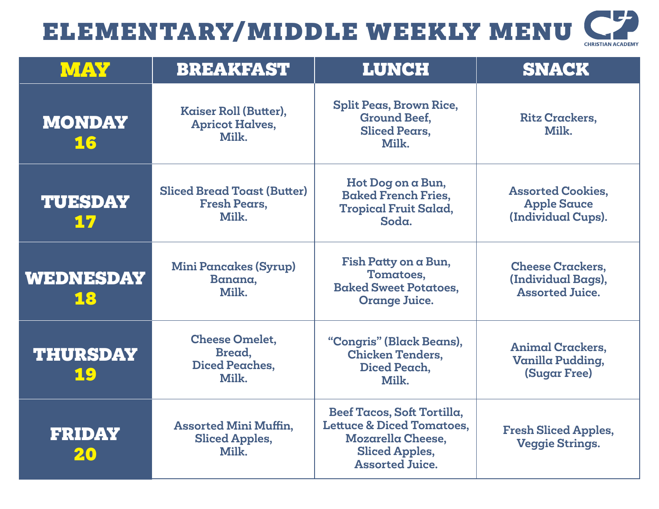| <b>CHRISTIAN ACADEMY</b> |  |
|--------------------------|--|

| <b>MAY</b>             | <b>BREAKFAST</b>                                                   | <b>LUNCH</b>                                                                                                                               | <b>SNACK</b>                                                            |
|------------------------|--------------------------------------------------------------------|--------------------------------------------------------------------------------------------------------------------------------------------|-------------------------------------------------------------------------|
| <b>MONDAY</b><br>16    | Kaiser Roll (Butter),<br><b>Apricot Halves,</b><br>Milk.           | <b>Split Peas, Brown Rice,</b><br><b>Ground Beef,</b><br><b>Sliced Pears.</b><br>Milk.                                                     | <b>Ritz Crackers,</b><br>Milk.                                          |
| <b>TUESDAY</b><br>17   | <b>Sliced Bread Toast (Butter)</b><br><b>Fresh Pears,</b><br>Milk. | Hot Dog on a Bun,<br><b>Baked French Fries,</b><br><b>Tropical Fruit Salad,</b><br>Soda.                                                   | <b>Assorted Cookies,</b><br><b>Apple Sauce</b><br>(Individual Cups).    |
| <b>WEDNESDAY</b><br>18 | <b>Mini Pancakes (Syrup)</b><br>Banana,<br>Milk.                   | Fish Patty on a Bun,<br>Tomatoes,<br><b>Baked Sweet Potatoes,</b><br><b>Orange Juice.</b>                                                  | <b>Cheese Crackers,</b><br>(Individual Bags),<br><b>Assorted Juice.</b> |
| <b>THURSDAY</b><br>19  | <b>Cheese Omelet,</b><br>Bread,<br><b>Diced Peaches,</b><br>Milk.  | "Congris" (Black Beans),<br><b>Chicken Tenders,</b><br>Diced Peach,<br>Milk.                                                               | <b>Animal Crackers,</b><br>Vanilla Pudding,<br><b>(Sugar Free)</b>      |
| <b>FRIDAY</b><br>20    | <b>Assorted Mini Muffin,</b><br><b>Sliced Apples,</b><br>Milk.     | Beef Tacos, Soft Tortilla,<br><b>Lettuce &amp; Diced Tomatoes,</b><br>Mozarella Cheese,<br><b>Sliced Apples,</b><br><b>Assorted Juice.</b> | <b>Fresh Sliced Apples,</b><br><b>Veggie Strings.</b>                   |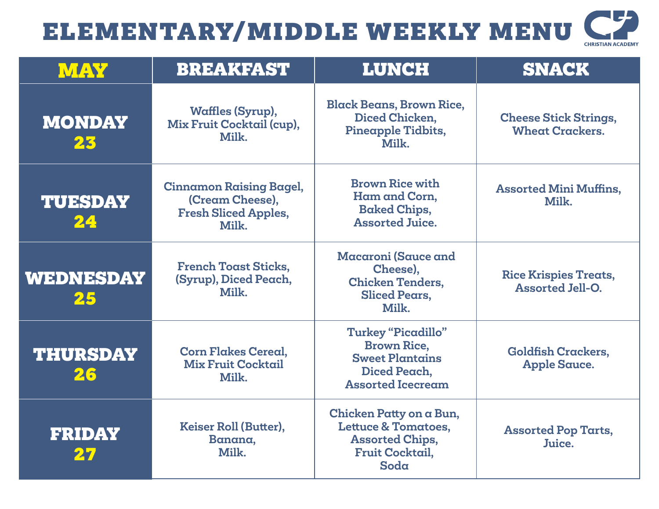| <b>CHRISTIAN ACADEMY</b> |
|--------------------------|

| <b>MAY</b>             | <b>BREAKFAST</b>                                                                          | <b>LUNCH</b>                                                                                                          | <b>SNACK</b>                                            |
|------------------------|-------------------------------------------------------------------------------------------|-----------------------------------------------------------------------------------------------------------------------|---------------------------------------------------------|
| <b>MONDAY</b><br>23    | <b>Waffles (Syrup),</b><br>Mix Fruit Cocktail (cup),<br>Milk.                             | <b>Black Beans, Brown Rice,</b><br>Diced Chicken,<br>Pineapple Tidbits,<br>Milk.                                      | <b>Cheese Stick Strings,</b><br><b>Wheat Crackers.</b>  |
| <b>TUESDAY</b><br>24   | <b>Cinnamon Raising Bagel,</b><br>(Cream Cheese),<br><b>Fresh Sliced Apples,</b><br>Milk. | <b>Brown Rice with</b><br>Ham and Corn,<br><b>Baked Chips,</b><br><b>Assorted Juice.</b>                              | <b>Assorted Mini Muffins,</b><br>Milk.                  |
| <b>WEDNESDAY</b><br>25 | <b>French Toast Sticks,</b><br>(Syrup), Diced Peach,<br>Milk.                             | Macaroni (Sauce and<br>Cheese),<br><b>Chicken Tenders,</b><br><b>Sliced Pears,</b><br>Milk.                           | <b>Rice Krispies Treats,</b><br><b>Assorted Jell-O.</b> |
| <b>THURSDAY</b><br>26  | <b>Corn Flakes Cereal,</b><br><b>Mix Fruit Cocktail</b><br>Milk.                          | <b>Turkey "Picadillo"</b><br><b>Brown Rice,</b><br><b>Sweet Plantains</b><br>Diced Peach,<br><b>Assorted Icecream</b> | <b>Goldfish Crackers,</b><br><b>Apple Sauce.</b>        |
| <b>FRIDAY</b>          | Keiser Roll (Butter),<br>Banana,<br>Milk.                                                 | Chicken Patty on a Bun,<br><b>Lettuce &amp; Tomatoes,</b><br><b>Assorted Chips,</b><br><b>Fruit Cocktail,</b><br>Soda | <b>Assorted Pop Tarts,</b><br>Juice.                    |